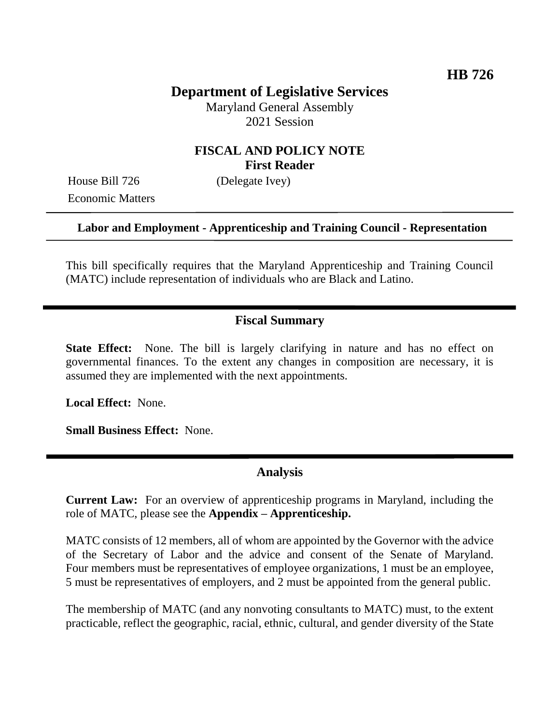# **Department of Legislative Services**

Maryland General Assembly 2021 Session

# **FISCAL AND POLICY NOTE First Reader**

House Bill 726 (Delegate Ivey) Economic Matters

#### **Labor and Employment - Apprenticeship and Training Council - Representation**

This bill specifically requires that the Maryland Apprenticeship and Training Council (MATC) include representation of individuals who are Black and Latino.

## **Fiscal Summary**

**State Effect:** None. The bill is largely clarifying in nature and has no effect on governmental finances. To the extent any changes in composition are necessary, it is assumed they are implemented with the next appointments.

**Local Effect:** None.

**Small Business Effect:** None.

### **Analysis**

**Current Law:** For an overview of apprenticeship programs in Maryland, including the role of MATC, please see the **Appendix – Apprenticeship.**

MATC consists of 12 members, all of whom are appointed by the Governor with the advice of the Secretary of Labor and the advice and consent of the Senate of Maryland. Four members must be representatives of employee organizations, 1 must be an employee, 5 must be representatives of employers, and 2 must be appointed from the general public.

The membership of MATC (and any nonvoting consultants to MATC) must, to the extent practicable, reflect the geographic, racial, ethnic, cultural, and gender diversity of the State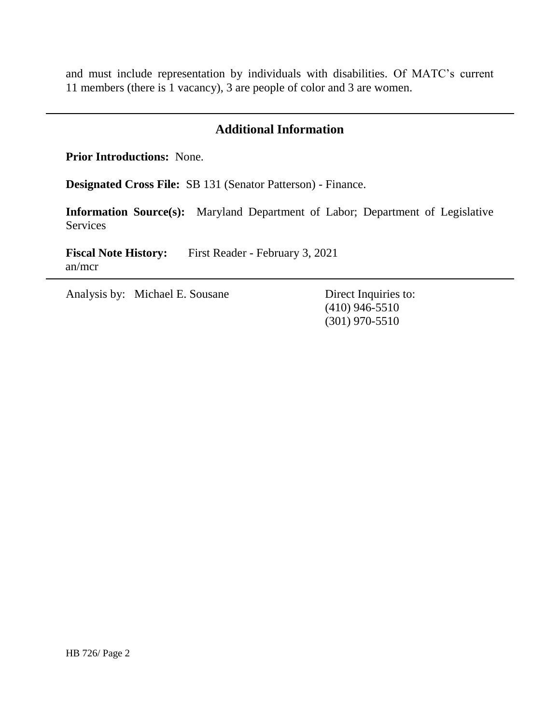and must include representation by individuals with disabilities. Of MATC's current 11 members (there is 1 vacancy), 3 are people of color and 3 are women.

## **Additional Information**

**Prior Introductions:** None.

**Designated Cross File:** SB 131 (Senator Patterson) - Finance.

**Information Source(s):** Maryland Department of Labor; Department of Legislative Services

**Fiscal Note History:** First Reader - February 3, 2021 an/mcr

Analysis by: Michael E. Sousane Direct Inquiries to:

(410) 946-5510 (301) 970-5510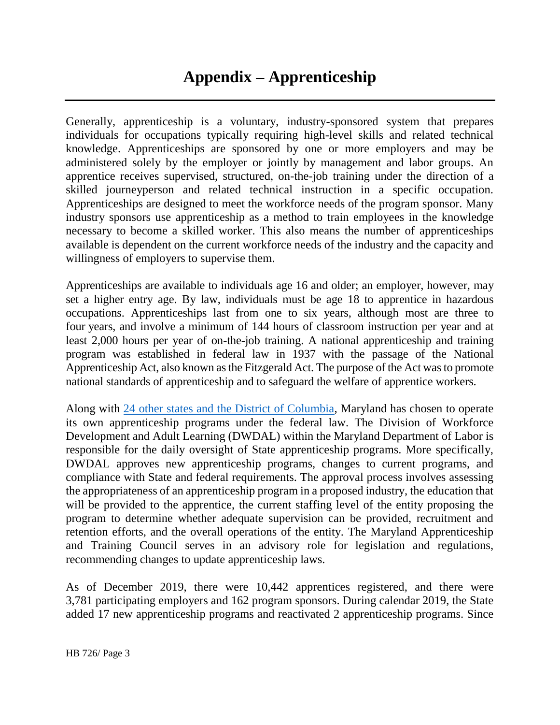Generally, apprenticeship is a voluntary, industry-sponsored system that prepares individuals for occupations typically requiring high-level skills and related technical knowledge. Apprenticeships are sponsored by one or more employers and may be administered solely by the employer or jointly by management and labor groups. An apprentice receives supervised, structured, on-the-job training under the direction of a skilled journeyperson and related technical instruction in a specific occupation. Apprenticeships are designed to meet the workforce needs of the program sponsor. Many industry sponsors use apprenticeship as a method to train employees in the knowledge necessary to become a skilled worker. This also means the number of apprenticeships available is dependent on the current workforce needs of the industry and the capacity and willingness of employers to supervise them.

Apprenticeships are available to individuals age 16 and older; an employer, however, may set a higher entry age. By law, individuals must be age 18 to apprentice in hazardous occupations. Apprenticeships last from one to six years, although most are three to four years, and involve a minimum of 144 hours of classroom instruction per year and at least 2,000 hours per year of on-the-job training. A national apprenticeship and training program was established in federal law in 1937 with the passage of the National Apprenticeship Act, also known as the Fitzgerald Act. The purpose of the Act was to promote national standards of apprenticeship and to safeguard the welfare of apprentice workers.

Along with [24 other states and the District of Columbia,](https://www.dol.gov/agencies/eta/apprenticeship/contact) Maryland has chosen to operate its own apprenticeship programs under the federal law. The Division of Workforce Development and Adult Learning (DWDAL) within the Maryland Department of Labor is responsible for the daily oversight of State apprenticeship programs. More specifically, DWDAL approves new apprenticeship programs, changes to current programs, and compliance with State and federal requirements. The approval process involves assessing the appropriateness of an apprenticeship program in a proposed industry, the education that will be provided to the apprentice, the current staffing level of the entity proposing the program to determine whether adequate supervision can be provided, recruitment and retention efforts, and the overall operations of the entity. The Maryland Apprenticeship and Training Council serves in an advisory role for legislation and regulations, recommending changes to update apprenticeship laws.

As of December 2019, there were 10,442 apprentices registered, and there were 3,781 participating employers and 162 program sponsors. During calendar 2019, the State added 17 new apprenticeship programs and reactivated 2 apprenticeship programs. Since